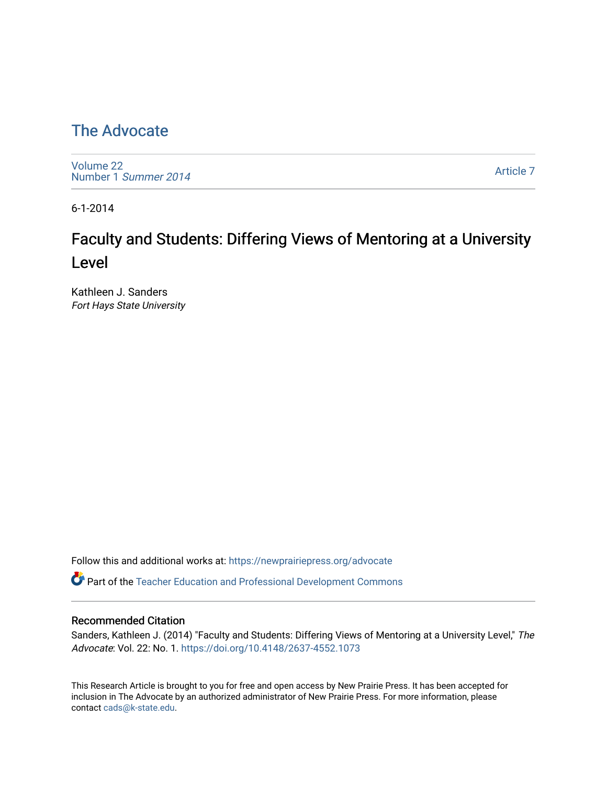#### [The Advocate](https://newprairiepress.org/advocate)

[Volume 22](https://newprairiepress.org/advocate/vol22) [Number 1](https://newprairiepress.org/advocate/vol22/iss1) Summer 2014

[Article 7](https://newprairiepress.org/advocate/vol22/iss1/7) 

6-1-2014

## Faculty and Students: Differing Views of Mentoring at a University Level

Kathleen J. Sanders Fort Hays State University

Follow this and additional works at: [https://newprairiepress.org/advocate](https://newprairiepress.org/advocate?utm_source=newprairiepress.org%2Fadvocate%2Fvol22%2Fiss1%2F7&utm_medium=PDF&utm_campaign=PDFCoverPages) 

Part of the [Teacher Education and Professional Development Commons](http://network.bepress.com/hgg/discipline/803?utm_source=newprairiepress.org%2Fadvocate%2Fvol22%2Fiss1%2F7&utm_medium=PDF&utm_campaign=PDFCoverPages) 

#### Recommended Citation

Sanders, Kathleen J. (2014) "Faculty and Students: Differing Views of Mentoring at a University Level," The Advocate: Vol. 22: No. 1. <https://doi.org/10.4148/2637-4552.1073>

This Research Article is brought to you for free and open access by New Prairie Press. It has been accepted for inclusion in The Advocate by an authorized administrator of New Prairie Press. For more information, please contact [cads@k-state.edu](mailto:cads@k-state.edu).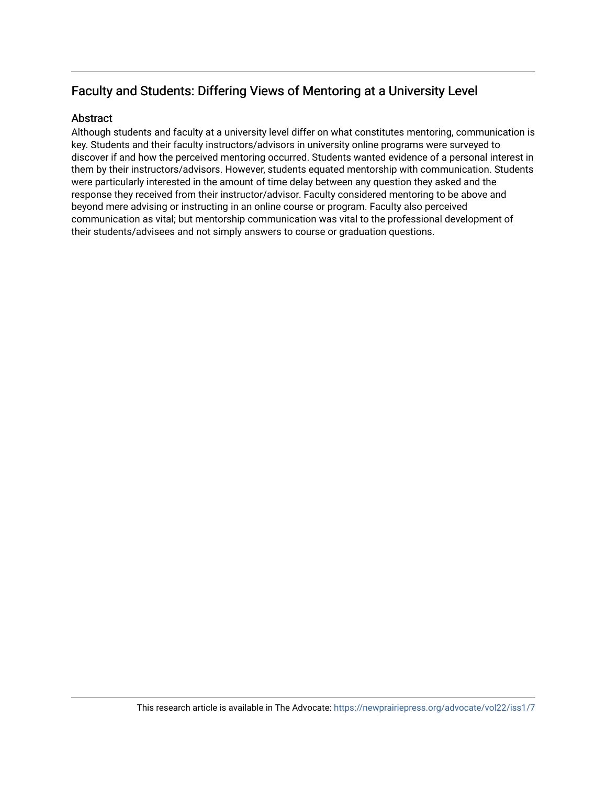#### Faculty and Students: Differing Views of Mentoring at a University Level

#### **Abstract**

Although students and faculty at a university level differ on what constitutes mentoring, communication is key. Students and their faculty instructors/advisors in university online programs were surveyed to discover if and how the perceived mentoring occurred. Students wanted evidence of a personal interest in them by their instructors/advisors. However, students equated mentorship with communication. Students were particularly interested in the amount of time delay between any question they asked and the response they received from their instructor/advisor. Faculty considered mentoring to be above and beyond mere advising or instructing in an online course or program. Faculty also perceived communication as vital; but mentorship communication was vital to the professional development of their students/advisees and not simply answers to course or graduation questions.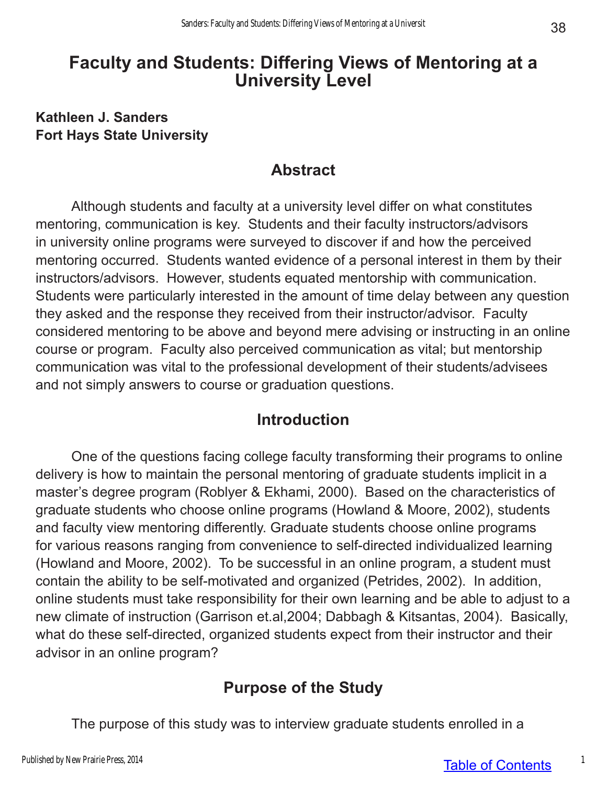## **Faculty and Students: Differing Views of Mentoring at a University Level**

#### **Kathleen J. Sanders Fort Hays State University**

### **Abstract**

Although students and faculty at a university level differ on what constitutes mentoring, communication is key. Students and their faculty instructors/advisors in university online programs were surveyed to discover if and how the perceived mentoring occurred. Students wanted evidence of a personal interest in them by their instructors/advisors. However, students equated mentorship with communication. Students were particularly interested in the amount of time delay between any question they asked and the response they received from their instructor/advisor. Faculty considered mentoring to be above and beyond mere advising or instructing in an online course or program. Faculty also perceived communication as vital; but mentorship communication was vital to the professional development of their students/advisees and not simply answers to course or graduation questions.

### **Introduction**

One of the questions facing college faculty transforming their programs to online delivery is how to maintain the personal mentoring of graduate students implicit in a master's degree program (Roblyer & Ekhami, 2000). Based on the characteristics of graduate students who choose online programs (Howland & Moore, 2002), students and faculty view mentoring differently. Graduate students choose online programs for various reasons ranging from convenience to self-directed individualized learning (Howland and Moore, 2002). To be successful in an online program, a student must contain the ability to be self-motivated and organized (Petrides, 2002). In addition, online students must take responsibility for their own learning and be able to adjust to a new climate of instruction (Garrison et.al,2004; Dabbagh & Kitsantas, 2004). Basically, what do these self-directed, organized students expect from their instructor and their advisor in an online program?

### **Purpose of the Study**

The purpose of this study was to interview graduate students enrolled in a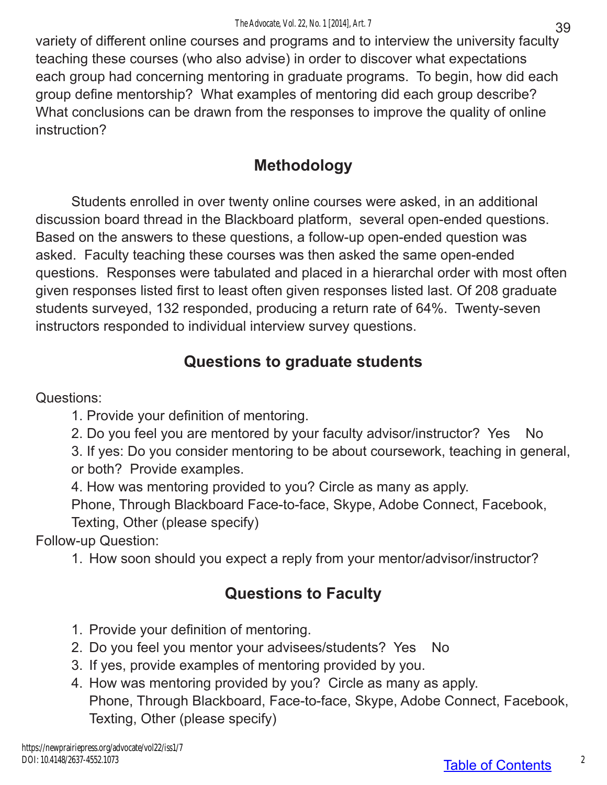variety of different online courses and programs and to interview the university faculty teaching these courses (who also advise) in order to discover what expectations each group had concerning mentoring in graduate programs. To begin, how did each group define mentorship? What examples of mentoring did each group describe? What conclusions can be drawn from the responses to improve the quality of online instruction?

## **Methodology**

Students enrolled in over twenty online courses were asked, in an additional discussion board thread in the Blackboard platform, several open-ended questions. Based on the answers to these questions, a follow-up open-ended question was asked. Faculty teaching these courses was then asked the same open-ended questions. Responses were tabulated and placed in a hierarchal order with most often given responses listed first to least often given responses listed last. Of 208 graduate students surveyed, 132 responded, producing a return rate of 64%. Twenty-seven instructors responded to individual interview survey questions.

## **Questions to graduate students**

Questions:

1. Provide your definition of mentoring.

2. Do you feel you are mentored by your faculty advisor/instructor? Yes No

3. If yes: Do you consider mentoring to be about coursework, teaching in general, or both? Provide examples.

4. How was mentoring provided to you? Circle as many as apply.

Phone, Through Blackboard Face-to-face, Skype, Adobe Connect, Facebook, Texting, Other (please specify)

Follow-up Question:

1. How soon should you expect a reply from your mentor/advisor/instructor?

## **Questions to Faculty**

- 1. Provide your definition of mentoring.
- 2. Do you feel you mentor your advisees/students? Yes No
- 3. If yes, provide examples of mentoring provided by you.
- 4. How was mentoring provided by you? Circle as many as apply. Phone, Through Blackboard, Face-to-face, Skype, Adobe Connect, Facebook, Texting, Other (please specify)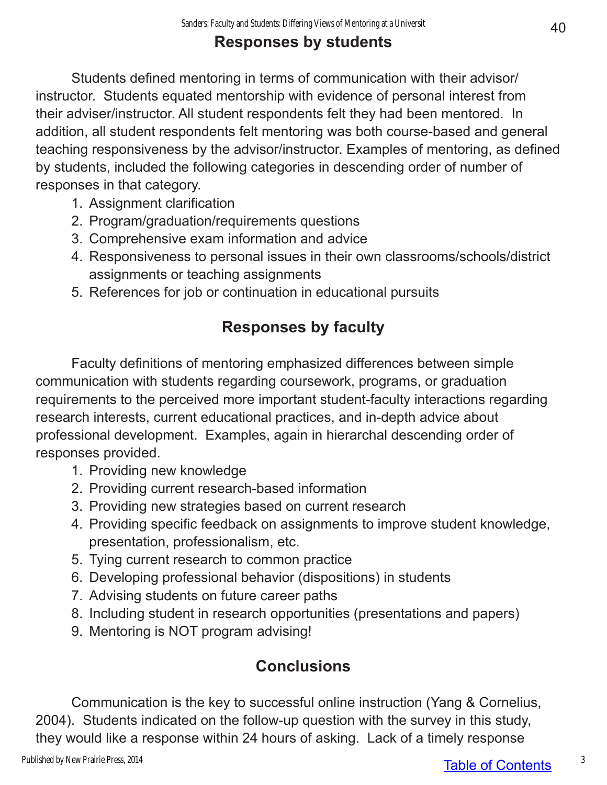## **Responses by students**

Students defined mentoring in terms of communication with their advisor/ instructor. Students equated mentorship with evidence of personal interest from their adviser/instructor. All student respondents felt they had been mentored. In addition, all student respondents felt mentoring was both course-based and general teaching responsiveness by the advisor/instructor. Examples of mentoring, as defined by students, included the following categories in descending order of number of responses in that category.

- 1. Assignment clarification
- 2. Program/graduation/requirements questions
- 3. Comprehensive exam information and advice
- 4. Responsiveness to personal issues in their own classrooms/schools/district assignments or teaching assignments
- 5. References for job or continuation in educational pursuits

# **Responses by faculty**

Faculty definitions of mentoring emphasized differences between simple communication with students regarding coursework, programs, or graduation requirements to the perceived more important student-faculty interactions regarding research interests, current educational practices, and in-depth advice about professional development. Examples, again in hierarchal descending order of responses provided.

- 1. Providing new knowledge
- 2. Providing current research-based information
- 3. Providing new strategies based on current research
- 4. Providing specific feedback on assignments to improve student knowledge, presentation, professionalism, etc.
- 5. Tying current research to common practice
- 6. Developing professional behavior (dispositions) in students
- 7. Advising students on future career paths
- 8. Including student in research opportunities (presentations and papers)
- 9. Mentoring is NOT program advising!

# **Conclusions**

Communication is the key to successful online instruction (Yang & Cornelius, 2004). Students indicated on the follow-up question with the survey in this study, they would like a response within 24 hours of asking. Lack of a timely response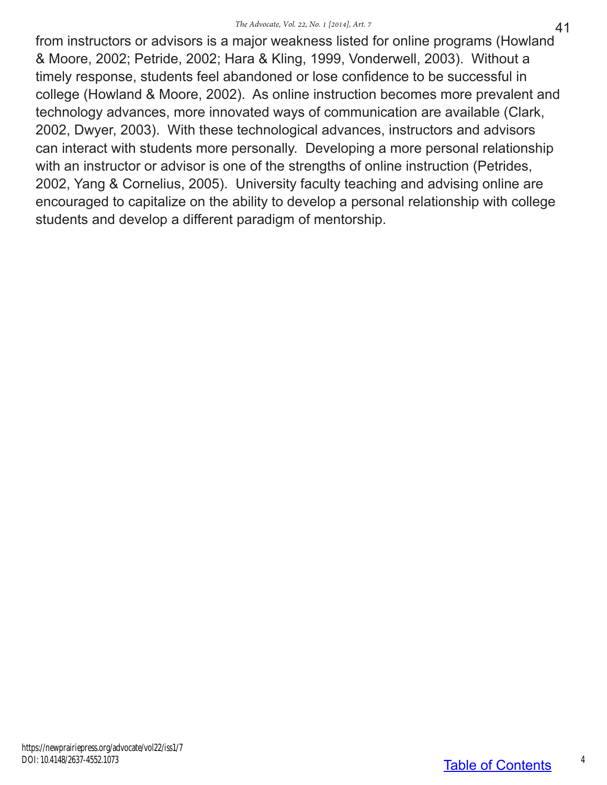from instructors or advisors is a major weakness listed for online programs (Howland & Moore, 2002; Petride, 2002; Hara & Kling, 1999, Vonderwell, 2003). Without a timely response, students feel abandoned or lose confidence to be successful in college (Howland & Moore, 2002). As online instruction becomes more prevalent and technology advances, more innovated ways of communication are available (Clark, 2002, Dwyer, 2003). With these technological advances, instructors and advisors can interact with students more personally. Developing a more personal relationship with an instructor or advisor is one of the strengths of online instruction (Petrides, 2002, Yang & Cornelius, 2005). University faculty teaching and advising online are encouraged to capitalize on the ability to develop a personal relationship with college students and develop a different paradigm of mentorship.